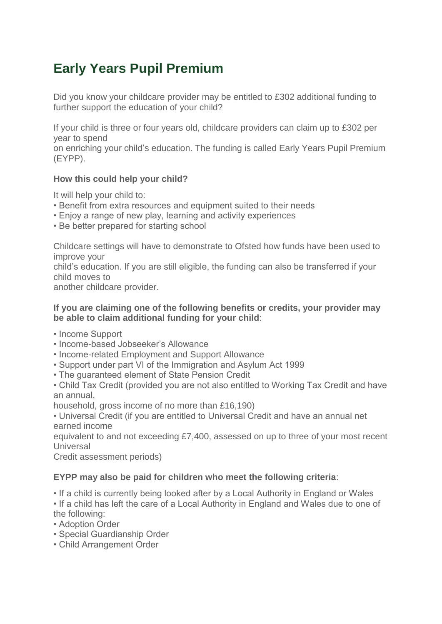## **Early Years Pupil Premium**

Did you know your childcare provider may be entitled to £302 additional funding to further support the education of your child?

If your child is three or four years old, childcare providers can claim up to £302 per year to spend

on enriching your child's education. The funding is called Early Years Pupil Premium (EYPP).

## **How this could help your child?**

It will help your child to:

- Benefit from extra resources and equipment suited to their needs
- Enjoy a range of new play, learning and activity experiences
- Be better prepared for starting school

Childcare settings will have to demonstrate to Ofsted how funds have been used to improve your

child's education. If you are still eligible, the funding can also be transferred if your child moves to

another childcare provider.

## **If you are claiming one of the following benefits or credits, your provider may be able to claim additional funding for your child**:

- Income Support
- Income-based Jobseeker's Allowance
- Income-related Employment and Support Allowance
- Support under part VI of the Immigration and Asylum Act 1999
- The guaranteed element of State Pension Credit

• Child Tax Credit (provided you are not also entitled to Working Tax Credit and have an annual,

household, gross income of no more than £16,190)

• Universal Credit (if you are entitled to Universal Credit and have an annual net earned income

equivalent to and not exceeding £7,400, assessed on up to three of your most recent **Universal** 

Credit assessment periods)

## **EYPP may also be paid for children who meet the following criteria**:

• If a child is currently being looked after by a Local Authority in England or Wales

• If a child has left the care of a Local Authority in England and Wales due to one of the following:

- Adoption Order
- Special Guardianship Order
- Child Arrangement Order